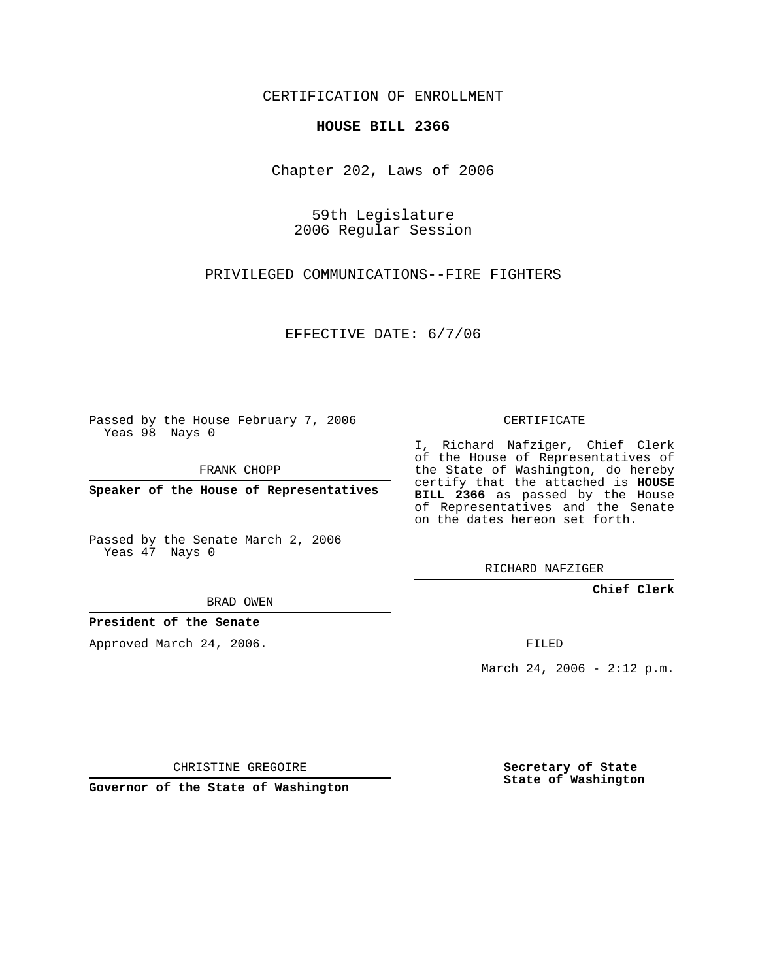CERTIFICATION OF ENROLLMENT

## **HOUSE BILL 2366**

Chapter 202, Laws of 2006

59th Legislature 2006 Regular Session

PRIVILEGED COMMUNICATIONS--FIRE FIGHTERS

EFFECTIVE DATE: 6/7/06

Passed by the House February 7, 2006 Yeas 98 Nays 0

FRANK CHOPP

**Speaker of the House of Representatives**

Passed by the Senate March 2, 2006 Yeas 47 Nays 0

CERTIFICATE

I, Richard Nafziger, Chief Clerk of the House of Representatives of the State of Washington, do hereby certify that the attached is **HOUSE BILL 2366** as passed by the House of Representatives and the Senate on the dates hereon set forth.

RICHARD NAFZIGER

**Chief Clerk**

BRAD OWEN

**President of the Senate**

Approved March 24, 2006.

FILED

March 24, 2006 -  $2:12$  p.m.

CHRISTINE GREGOIRE

**Governor of the State of Washington**

**Secretary of State State of Washington**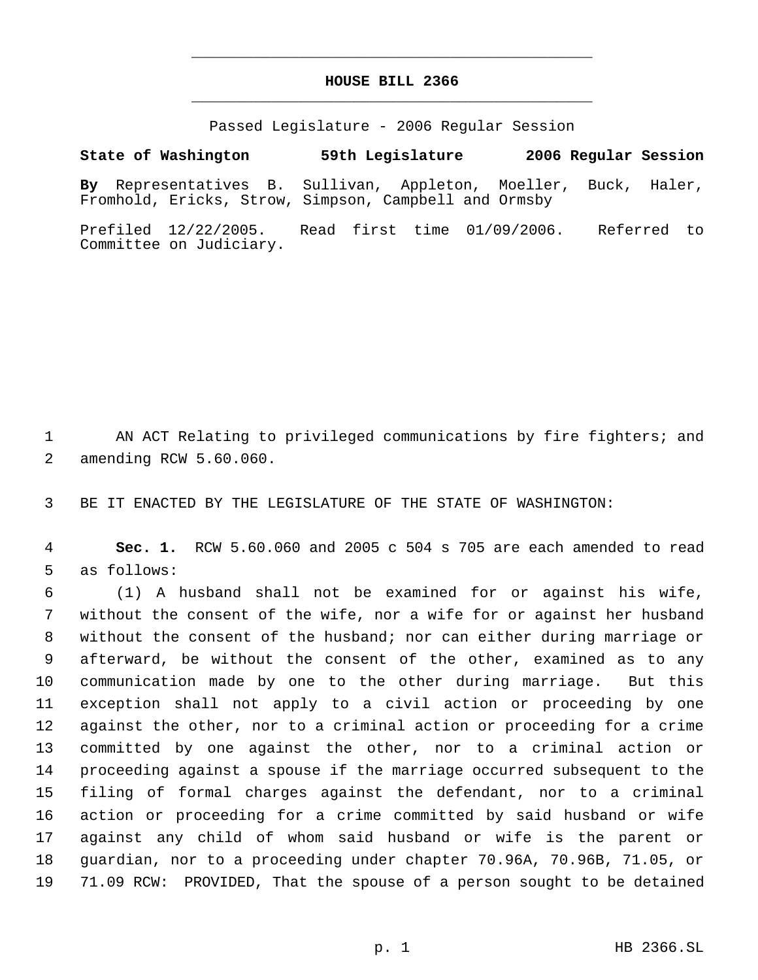## **HOUSE BILL 2366** \_\_\_\_\_\_\_\_\_\_\_\_\_\_\_\_\_\_\_\_\_\_\_\_\_\_\_\_\_\_\_\_\_\_\_\_\_\_\_\_\_\_\_\_\_

\_\_\_\_\_\_\_\_\_\_\_\_\_\_\_\_\_\_\_\_\_\_\_\_\_\_\_\_\_\_\_\_\_\_\_\_\_\_\_\_\_\_\_\_\_

Passed Legislature - 2006 Regular Session

## **State of Washington 59th Legislature 2006 Regular Session**

**By** Representatives B. Sullivan, Appleton, Moeller, Buck, Haler, Fromhold, Ericks, Strow, Simpson, Campbell and Ormsby

Prefiled 12/22/2005. Read first time 01/09/2006. Referred to Committee on Judiciary.

 AN ACT Relating to privileged communications by fire fighters; and amending RCW 5.60.060.

BE IT ENACTED BY THE LEGISLATURE OF THE STATE OF WASHINGTON:

 **Sec. 1.** RCW 5.60.060 and 2005 c 504 s 705 are each amended to read as follows:

 (1) A husband shall not be examined for or against his wife, without the consent of the wife, nor a wife for or against her husband without the consent of the husband; nor can either during marriage or afterward, be without the consent of the other, examined as to any communication made by one to the other during marriage. But this exception shall not apply to a civil action or proceeding by one against the other, nor to a criminal action or proceeding for a crime committed by one against the other, nor to a criminal action or proceeding against a spouse if the marriage occurred subsequent to the filing of formal charges against the defendant, nor to a criminal action or proceeding for a crime committed by said husband or wife against any child of whom said husband or wife is the parent or guardian, nor to a proceeding under chapter 70.96A, 70.96B, 71.05, or 71.09 RCW: PROVIDED, That the spouse of a person sought to be detained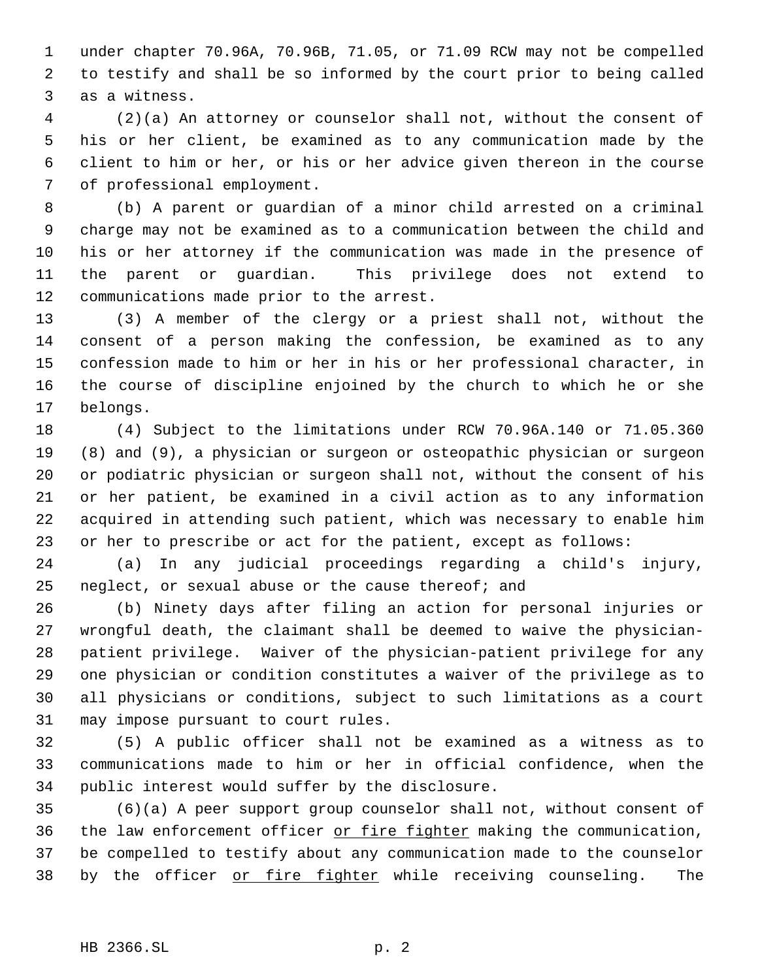under chapter 70.96A, 70.96B, 71.05, or 71.09 RCW may not be compelled to testify and shall be so informed by the court prior to being called as a witness.

 (2)(a) An attorney or counselor shall not, without the consent of his or her client, be examined as to any communication made by the client to him or her, or his or her advice given thereon in the course of professional employment.

 (b) A parent or guardian of a minor child arrested on a criminal charge may not be examined as to a communication between the child and his or her attorney if the communication was made in the presence of the parent or guardian. This privilege does not extend to communications made prior to the arrest.

 (3) A member of the clergy or a priest shall not, without the consent of a person making the confession, be examined as to any confession made to him or her in his or her professional character, in the course of discipline enjoined by the church to which he or she belongs.

 (4) Subject to the limitations under RCW 70.96A.140 or 71.05.360 (8) and (9), a physician or surgeon or osteopathic physician or surgeon or podiatric physician or surgeon shall not, without the consent of his or her patient, be examined in a civil action as to any information acquired in attending such patient, which was necessary to enable him or her to prescribe or act for the patient, except as follows:

 (a) In any judicial proceedings regarding a child's injury, neglect, or sexual abuse or the cause thereof; and

 (b) Ninety days after filing an action for personal injuries or wrongful death, the claimant shall be deemed to waive the physician- patient privilege. Waiver of the physician-patient privilege for any one physician or condition constitutes a waiver of the privilege as to all physicians or conditions, subject to such limitations as a court may impose pursuant to court rules.

 (5) A public officer shall not be examined as a witness as to communications made to him or her in official confidence, when the public interest would suffer by the disclosure.

 (6)(a) A peer support group counselor shall not, without consent of the law enforcement officer or fire fighter making the communication, be compelled to testify about any communication made to the counselor 38 by the officer or fire fighter while receiving counseling. The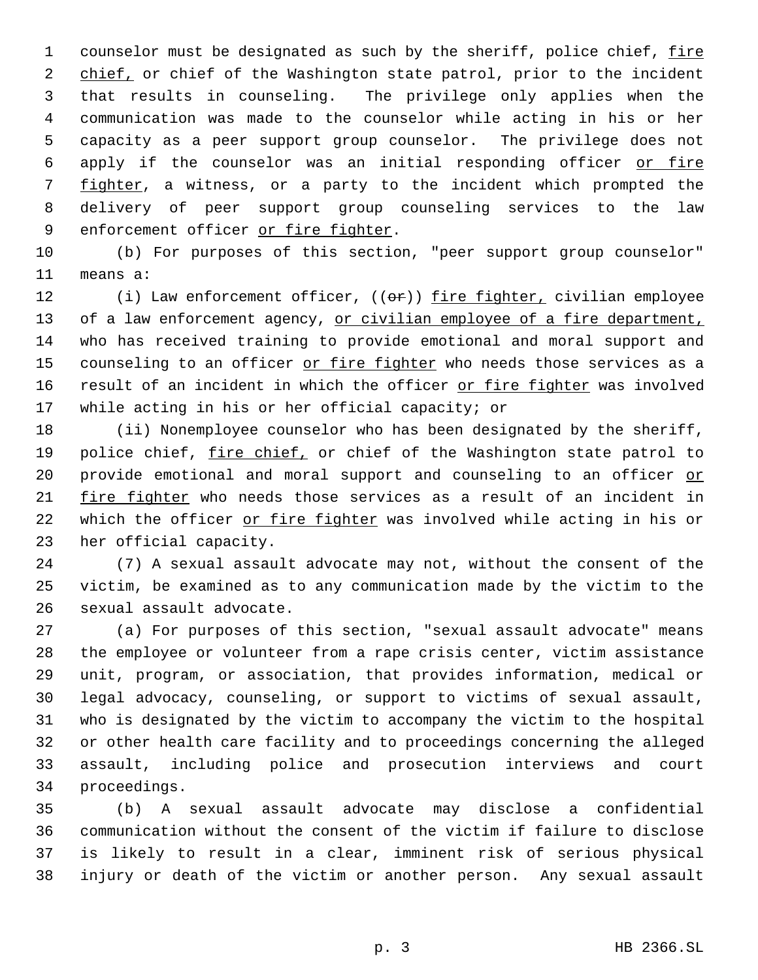1 counselor must be designated as such by the sheriff, police chief, fire 2 chief, or chief of the Washington state patrol, prior to the incident that results in counseling. The privilege only applies when the communication was made to the counselor while acting in his or her capacity as a peer support group counselor. The privilege does not apply if the counselor was an initial responding officer or fire 7 fighter, a witness, or a party to the incident which prompted the delivery of peer support group counseling services to the law 9 enforcement officer or fire fighter.

 (b) For purposes of this section, "peer support group counselor" means a:

12 (i) Law enforcement officer, ((or)) fire fighter, civilian employee 13 of a law enforcement agency, or civilian employee of a fire department, who has received training to provide emotional and moral support and 15 counseling to an officer or fire fighter who needs those services as a 16 result of an incident in which the officer or fire fighter was involved while acting in his or her official capacity; or

 (ii) Nonemployee counselor who has been designated by the sheriff, 19 police chief, fire chief, or chief of the Washington state patrol to 20 provide emotional and moral support and counseling to an officer or fire fighter who needs those services as a result of an incident in 22 which the officer or fire fighter was involved while acting in his or her official capacity.

 (7) A sexual assault advocate may not, without the consent of the victim, be examined as to any communication made by the victim to the sexual assault advocate.

 (a) For purposes of this section, "sexual assault advocate" means the employee or volunteer from a rape crisis center, victim assistance unit, program, or association, that provides information, medical or legal advocacy, counseling, or support to victims of sexual assault, who is designated by the victim to accompany the victim to the hospital or other health care facility and to proceedings concerning the alleged assault, including police and prosecution interviews and court proceedings.

 (b) A sexual assault advocate may disclose a confidential communication without the consent of the victim if failure to disclose is likely to result in a clear, imminent risk of serious physical injury or death of the victim or another person. Any sexual assault